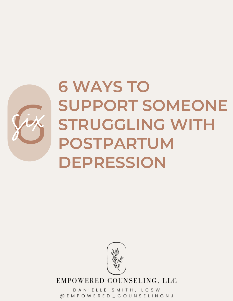

# **6 WAYS TO SUPPORT SOMEONE STRUGGLING WITH POSTPARTUM DEPRESSION EXAMPRED SUPPORT SOMEONE**



EMPOWERED COUNSELING, LLC

DANIELLE SMITH, LCSW @EMPOWERED\_COUNSELINGNJ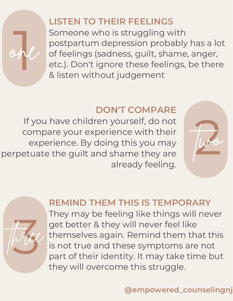## **LISTEN TO THEIR FEELINGS**

Someone who is struggling with<br>postpartum depression probably has a lot<br>of feelings (sadness, guilt, shame, anger,<br>etc.). Don't ignore these feelings, be there<br>& listen without judgement Someone who is struggling with postpartum depression probably has a lot of feelings (sadness, guilt, shame, anger, etc.). Don't ignore these feelings, be there & listen without judgement

#### **DON'T COMPARE**

If you have children yourself, do not compare your experience with their experience. By doing this you may perpetuate the guilt and shame they are already feeling.

one



#### **REMIND THEM THIS IS TEMPORARY**

th3ree They may be feeling like things will never get better & they will never feel like themselves again. Remind them that this is not true and these symptoms are not part of their identity. It may take time but they will overcome this struggle.

### **@empowered\_counselingnj**